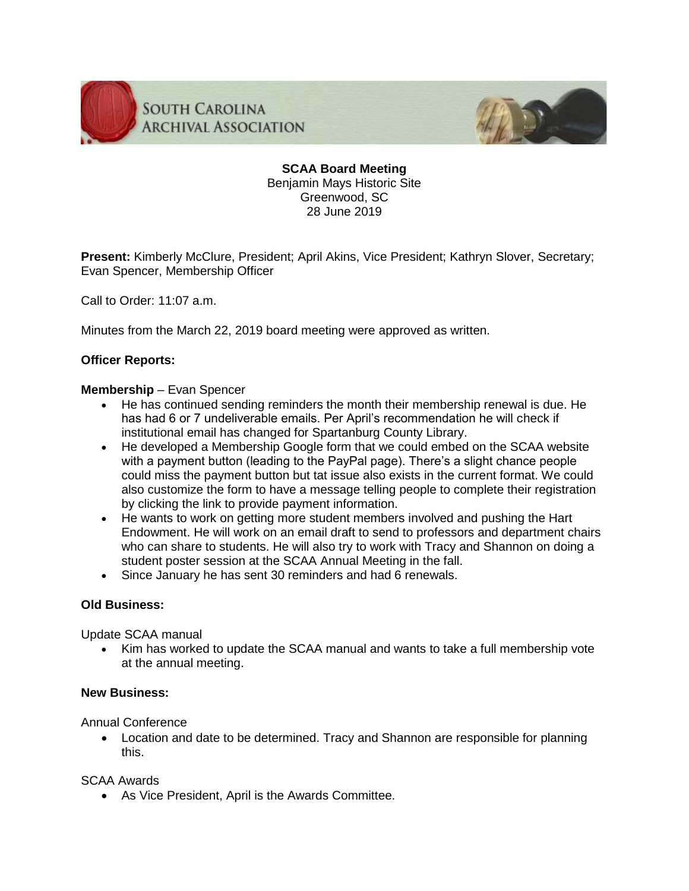

**SOUTH CAROLINA ARCHIVAL ASSOCIATION** 



**SCAA Board Meeting** Benjamin Mays Historic Site Greenwood, SC 28 June 2019

**Present:** Kimberly McClure, President; April Akins, Vice President; Kathryn Slover, Secretary; Evan Spencer, Membership Officer

Call to Order: 11:07 a.m.

Minutes from the March 22, 2019 board meeting were approved as written.

# **Officer Reports:**

### **Membership** – Evan Spencer

- He has continued sending reminders the month their membership renewal is due. He has had 6 or 7 undeliverable emails. Per April's recommendation he will check if institutional email has changed for Spartanburg County Library.
- He developed a Membership Google form that we could embed on the SCAA website with a payment button (leading to the PayPal page). There's a slight chance people could miss the payment button but tat issue also exists in the current format. We could also customize the form to have a message telling people to complete their registration by clicking the link to provide payment information.
- He wants to work on getting more student members involved and pushing the Hart Endowment. He will work on an email draft to send to professors and department chairs who can share to students. He will also try to work with Tracy and Shannon on doing a student poster session at the SCAA Annual Meeting in the fall.
- Since January he has sent 30 reminders and had 6 renewals.

### **Old Business:**

Update SCAA manual

 Kim has worked to update the SCAA manual and wants to take a full membership vote at the annual meeting.

## **New Business:**

Annual Conference

 Location and date to be determined. Tracy and Shannon are responsible for planning this.

## SCAA Awards

As Vice President, April is the Awards Committee.